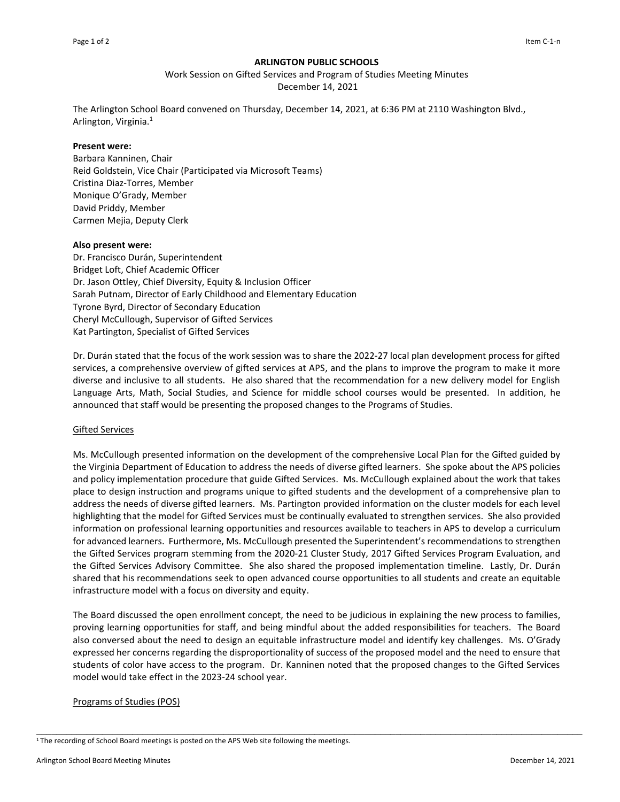# **ARLINGTON PUBLIC SCHOOLS**

Work Session on Gifted Services and Program of Studies Meeting Minutes

December 14, 2021

The Arlington School Board convened on Thursday, December 14, 2021, at 6:36 PM at 2110 Washington Blvd., Arlington, Virginia.<sup>1</sup>

## **Present were:**

Barbara Kanninen, Chair Reid Goldstein, Vice Chair (Participated via Microsoft Teams) Cristina Diaz-Torres, Member Monique O'Grady, Member David Priddy, Member Carmen Mejia, Deputy Clerk

## **Also present were:**

Dr. Francisco Durán, Superintendent Bridget Loft, Chief Academic Officer Dr. Jason Ottley, Chief Diversity, Equity & Inclusion Officer Sarah Putnam, Director of Early Childhood and Elementary Education Tyrone Byrd, Director of Secondary Education Cheryl McCullough, Supervisor of Gifted Services Kat Partington, Specialist of Gifted Services

Dr. Durán stated that the focus of the work session was to share the 2022-27 local plan development process for gifted services, a comprehensive overview of gifted services at APS, and the plans to improve the program to make it more diverse and inclusive to all students. He also shared that the recommendation for a new delivery model for English Language Arts, Math, Social Studies, and Science for middle school courses would be presented. In addition, he announced that staff would be presenting the proposed changes to the Programs of Studies.

## Gifted Services

Ms. McCullough presented information on the development of the comprehensive Local Plan for the Gifted guided by the Virginia Department of Education to address the needs of diverse gifted learners. She spoke about the APS policies and policy implementation procedure that guide Gifted Services. Ms. McCullough explained about the work that takes place to design instruction and programs unique to gifted students and the development of a comprehensive plan to address the needs of diverse gifted learners. Ms. Partington provided information on the cluster models for each level highlighting that the model for Gifted Services must be continually evaluated to strengthen services. She also provided information on professional learning opportunities and resources available to teachers in APS to develop a curriculum for advanced learners. Furthermore, Ms. McCullough presented the Superintendent's recommendations to strengthen the Gifted Services program stemming from the 2020-21 Cluster Study, 2017 Gifted Services Program Evaluation, and the Gifted Services Advisory Committee. She also shared the proposed implementation timeline. Lastly, Dr. Durán shared that his recommendations seek to open advanced course opportunities to all students and create an equitable infrastructure model with a focus on diversity and equity.

The Board discussed the open enrollment concept, the need to be judicious in explaining the new process to families, proving learning opportunities for staff, and being mindful about the added responsibilities for teachers. The Board also conversed about the need to design an equitable infrastructure model and identify key challenges. Ms. O'Grady expressed her concerns regarding the disproportionality of success of the proposed model and the need to ensure that students of color have access to the program. Dr. Kanninen noted that the proposed changes to the Gifted Services model would take effect in the 2023-24 school year.

\_\_\_\_\_\_\_\_\_\_\_\_\_\_\_\_\_\_\_\_\_\_\_\_\_\_\_\_\_\_\_\_\_\_\_\_\_\_\_\_\_\_\_\_\_\_\_\_\_\_\_\_\_\_\_\_\_\_\_\_\_\_\_\_\_\_\_\_\_\_\_\_\_\_\_\_\_\_\_\_\_\_\_\_\_\_\_\_\_\_\_\_\_\_\_\_\_\_\_\_\_\_\_\_\_\_\_\_

## Programs of Studies (POS)

<sup>&</sup>lt;sup>1</sup>The recording of School Board meetings is posted on the APS Web site following the meetings.